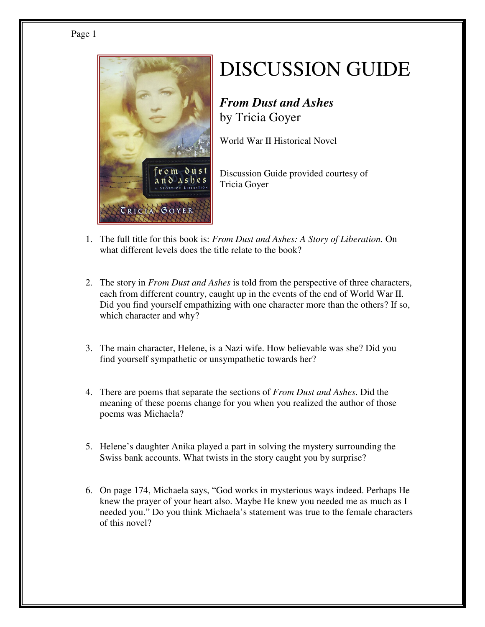## Page 1



## DISCUSSION GUIDE

## *From Dust and Ashes*  by Tricia Goyer

World War II Historical Novel

Discussion Guide provided courtesy of Tricia Goyer

- 1. The full title for this book is: *From Dust and Ashes: A Story of Liberation.* On what different levels does the title relate to the book?
- 2. The story in *From Dust and Ashes* is told from the perspective of three characters, each from different country, caught up in the events of the end of World War II. Did you find yourself empathizing with one character more than the others? If so, which character and why?
- 3. The main character, Helene, is a Nazi wife. How believable was she? Did you find yourself sympathetic or unsympathetic towards her?
- 4. There are poems that separate the sections of *From Dust and Ashes*. Did the meaning of these poems change for you when you realized the author of those poems was Michaela?
- 5. Helene's daughter Anika played a part in solving the mystery surrounding the Swiss bank accounts. What twists in the story caught you by surprise?
- 6. On page 174, Michaela says, "God works in mysterious ways indeed. Perhaps He knew the prayer of your heart also. Maybe He knew you needed me as much as I needed you." Do you think Michaela's statement was true to the female characters of this novel?